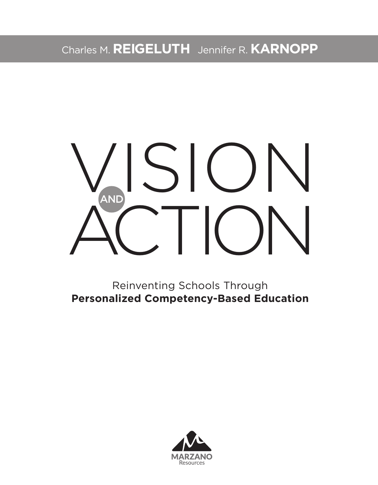Charles M. **REIGELUTH** Jennifer R. **KARNOPP**

# VISION ACTION AND

Reinventing Schools Through **Personalized Competency-Based Education**

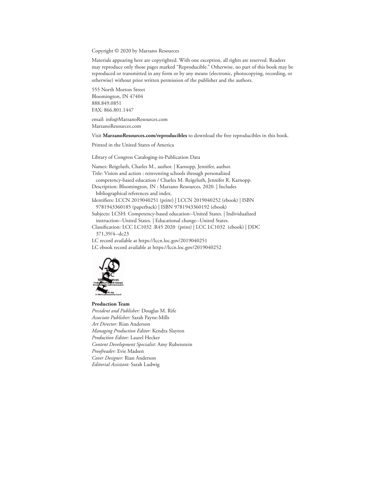Copyright © 2020 by Marzano Resources

Materials appearing here are copyrighted. With one exception, all rights are reserved. Readers may reproduce only those pages marked "Reproducible." Otherwise, no part of this book may be reproduced or transmitted in any form or by any means (electronic, photocopying, recording, or otherwise) without prior written permission of the publisher and the authors.

555 North Morton Street Bloomington, IN 47404 888.849.0851 FAX: 866.801.1447

email: info@MarzanoResources.com MarzanoResources.com

Visit **MarzanoResources.com/reproducibles** to download the free reproducibles in this book.

Printed in the United States of America

Library of Congress Cataloging-in-Publication Data

Names: Reigeluth, Charles M., author. | Karnopp, Jennifer, author. Title: Vision and action : reinventing schools through personalized competency-based education / Charles M. Reigeluth, Jennifer R. Karnopp. Description: Bloomington, IN : Marzano Resources, 2020. | Includes bibliographical references and index. Identifiers: LCCN 2019040251 (print) | LCCN 2019040252 (ebook) | ISBN 9781943360185 (paperback) | ISBN 9781943360192 (ebook)

Subjects: LCSH: Competency-based education--United States. | Individualized instruction--United States. | Educational change--United States.

Classification: LCC LC1032 .R45 2020 (print) | LCC LC1032 (ebook) | DDC 371,39/4--dc23

LC record available at https://lccn.loc.gov/2019040251

LC ebook record available at https://lccn.loc.gov/2019040252



**Production Team** *President and Publisher:* Douglas M. Rife *Associate Publisher:* Sarah Payne-Mills *Art Director:* Rian Anderson *Managing Production Editor:* Kendra Slayton *Production Editor:* Laurel Hecker *Content Development Specialist:* Amy Rubenstein *Proofreader:* Evie Madsen *Cover Designer:* Rian Anderson *Editorial Assistant:* Sarah Ludwig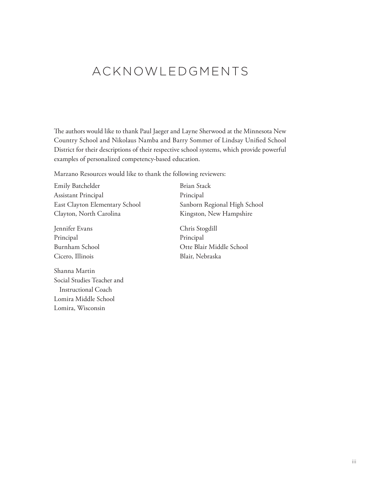# ACKNOWLEDGMENTS

The authors would like to thank Paul Jaeger and Layne Sherwood at the Minnesota New Country School and Nikolaus Namba and Barry Sommer of Lindsay Unified School District for their descriptions of their respective school systems, which provide powerful examples of personalized competency-based education.

Marzano Resources would like to thank the following reviewers:

Emily Batchelder Assistant Principal East Clayton Elementary School Clayton, North Carolina

Jennifer Evans Principal Burnham School Cicero, Illinois

Shanna Martin Social Studies Teacher and Instructional Coach Lomira Middle School Lomira, Wisconsin

Brian Stack Principal Sanborn Regional High School Kingston, New Hampshire

Chris Stogdill Principal Otte Blair Middle School Blair, Nebraska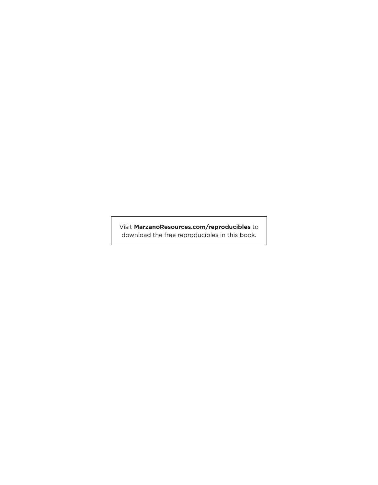Visit **MarzanoResources.com/reproducibles** to download the free reproducibles in this book.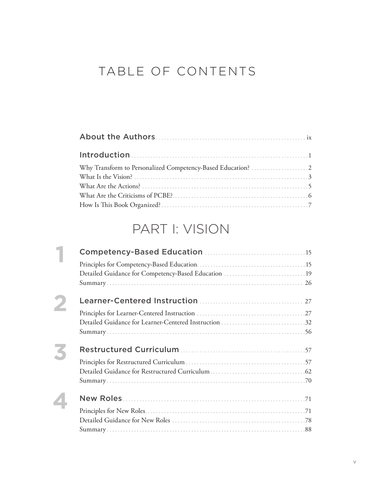# TABLE OF CONTENTS

# PART I: VISION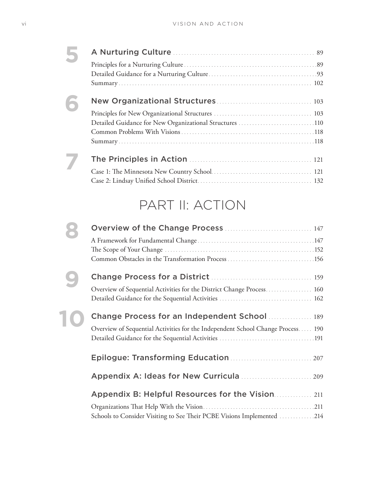| 6 |                                                         |  |
|---|---------------------------------------------------------|--|
|   |                                                         |  |
|   | Detailed Guidance for New Organizational Structures 110 |  |
|   |                                                         |  |
|   |                                                         |  |
|   |                                                         |  |
|   |                                                         |  |
|   |                                                         |  |
|   |                                                         |  |
|   | PART II: ACTION                                         |  |
|   |                                                         |  |

|  | Overview of the Change Process  147                                             |  |
|--|---------------------------------------------------------------------------------|--|
|  |                                                                                 |  |
|  |                                                                                 |  |
|  |                                                                                 |  |
|  |                                                                                 |  |
|  | Overview of Sequential Activities for the District Change Process 160           |  |
|  |                                                                                 |  |
|  | Change Process for an Independent School  189                                   |  |
|  | Overview of Sequential Activities for the Independent School Change Process 190 |  |
|  |                                                                                 |  |
|  |                                                                                 |  |
|  | Epilogue: Transforming Education  207                                           |  |
|  | Appendix A: Ideas for New Curricula  209                                        |  |
|  |                                                                                 |  |
|  | Appendix B: Helpful Resources for the Vision 211                                |  |
|  |                                                                                 |  |
|  | Schools to Consider Visiting to See Their PCBE Visions Implemented 214          |  |
|  |                                                                                 |  |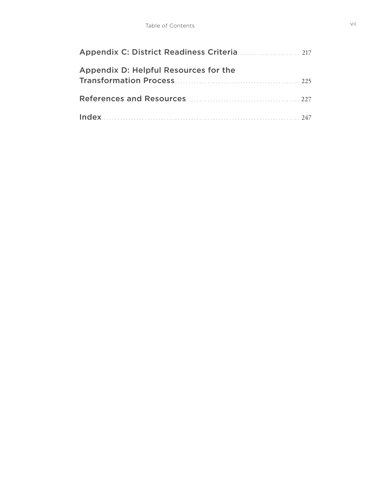| Appendix C: District Readiness Criteria 217 |  |
|---------------------------------------------|--|
| Appendix D: Helpful Resources for the       |  |
|                                             |  |
|                                             |  |
|                                             |  |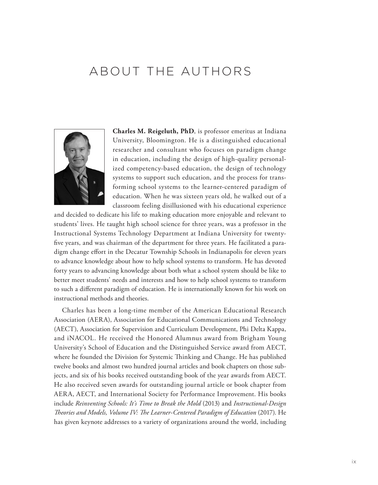# ABOUT THE AUTHORS



**Charles M. Reigeluth, PhD**, is professor emeritus at Indiana University, Bloomington. He is a distinguished educational researcher and consultant who focuses on paradigm change in education, including the design of high-quality personalized competency-based education, the design of technology systems to support such education, and the process for transforming school systems to the learner-centered paradigm of education. When he was sixteen years old, he walked out of a classroom feeling disillusioned with his educational experience

and decided to dedicate his life to making education more enjoyable and relevant to students' lives. He taught high school science for three years, was a professor in the Instructional Systems Technology Department at Indiana University for twentyfive years, and was chairman of the department for three years. He facilitated a paradigm change effort in the Decatur Township Schools in Indianapolis for eleven years to advance knowledge about how to help school systems to transform. He has devoted forty years to advancing knowledge about both what a school system should be like to better meet students' needs and interests and how to help school systems to transform to such a different paradigm of education. He is internationally known for his work on instructional methods and theories.

Charles has been a long-time member of the American Educational Research Association (AERA), Association for Educational Communications and Technology (AECT), Association for Supervision and Curriculum Development, Phi Delta Kappa, and iNACOL. He received the Honored Alumnus award from Brigham Young University's School of Education and the Distinguished Service award from AECT, where he founded the Division for Systemic Thinking and Change. He has published twelve books and almost two hundred journal articles and book chapters on those subjects, and six of his books received outstanding book of the year awards from AECT. He also received seven awards for outstanding journal article or book chapter from AERA, AECT, and International Society for Performance Improvement. His books include *Reinventing Schools: It's Time to Break the Mold* (2013) and *Instructional-Design Theories and Models, Volume IV: The Learner-Centered Paradigm of Education* (2017). He has given keynote addresses to a variety of organizations around the world, including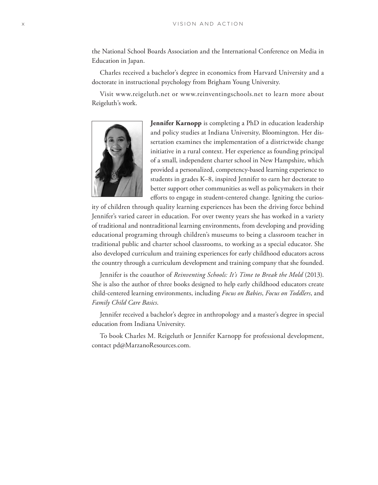the National School Boards Association and the International Conference on Media in Education in Japan.

Charles received a bachelor's degree in economics from Harvard University and a doctorate in instructional psychology from Brigham Young University.

Visit www.reigeluth.net or www.reinventingschools.net to learn more about Reigeluth's work.



**Jennifer Karnopp** is completing a PhD in education leadership and policy studies at Indiana University, Bloomington. Her dissertation examines the implementation of a districtwide change initiative in a rural context. Her experience as founding principal of a small, independent charter school in New Hampshire, which provided a personalized, competency-based learning experience to students in grades K–8, inspired Jennifer to earn her doctorate to better support other communities as well as policymakers in their efforts to engage in student-centered change. Igniting the curios-

ity of children through quality learning experiences has been the driving force behind Jennifer's varied career in education. For over twenty years she has worked in a variety of traditional and nontraditional learning environments, from developing and providing educational programing through children's museums to being a classroom teacher in traditional public and charter school classrooms, to working as a special educator. She also developed curriculum and training experiences for early childhood educators across the country through a curriculum development and training company that she founded.

Jennifer is the coauthor of *Reinventing Schools: It's Time to Break the Mold* (2013). She is also the author of three books designed to help early childhood educators create child-centered learning environments, including *Focus on Babies*, *Focus on Toddlers*, and *Family Child Care Basics*.

Jennifer received a bachelor's degree in anthropology and a master's degree in special education from Indiana University.

To book Charles M. Reigeluth or Jennifer Karnopp for professional development, contact pd@MarzanoResources.com.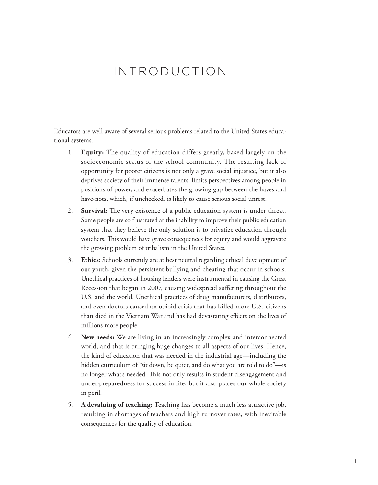## INTRODUCTION

Educators are well aware of several serious problems related to the United States educational systems.

- 1. **Equity:** The quality of education differs greatly, based largely on the socioeconomic status of the school community. The resulting lack of opportunity for poorer citizens is not only a grave social injustice, but it also deprives society of their immense talents, limits perspectives among people in positions of power, and exacerbates the growing gap between the haves and have-nots, which, if unchecked, is likely to cause serious social unrest.
- 2. **Survival:** The very existence of a public education system is under threat. Some people are so frustrated at the inability to improve their public education system that they believe the only solution is to privatize education through vouchers. This would have grave consequences for equity and would aggravate the growing problem of tribalism in the United States.
- 3. **Ethics:** Schools currently are at best neutral regarding ethical development of our youth, given the persistent bullying and cheating that occur in schools. Unethical practices of housing lenders were instrumental in causing the Great Recession that began in 2007, causing widespread suffering throughout the U.S. and the world. Unethical practices of drug manufacturers, distributors, and even doctors caused an opioid crisis that has killed more U.S. citizens than died in the Vietnam War and has had devastating effects on the lives of millions more people.
- 4. **New needs:** We are living in an increasingly complex and interconnected world, and that is bringing huge changes to all aspects of our lives. Hence, the kind of education that was needed in the industrial age—including the hidden curriculum of "sit down, be quiet, and do what you are told to do"—is no longer what's needed. This not only results in student disengagement and under-preparedness for success in life, but it also places our whole society in peril.
- 5. **A devaluing of teaching:** Teaching has become a much less attractive job, resulting in shortages of teachers and high turnover rates, with inevitable consequences for the quality of education.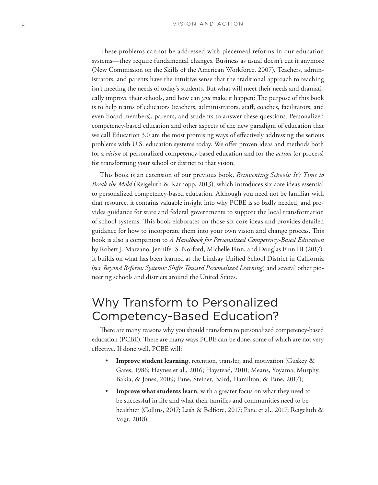These problems cannot be addressed with piecemeal reforms in our education systems—they require fundamental changes. Business as usual doesn't cut it anymore (New Commission on the Skills of the American Workforce, 2007). Teachers, administrators, and parents have the intuitive sense that the traditional approach to teaching isn't meeting the needs of today's students. But what will meet their needs and dramatically improve their schools, and how can *you* make it happen? The purpose of this book is to help teams of educators (teachers, administrators, staff, coaches, facilitators, and even board members), parents, and students to answer these questions. Personalized competency-based education and other aspects of the new paradigm of education that we call Education 3.0 are the most promising ways of effectively addressing the serious problems with U.S. education systems today. We offer proven ideas and methods both for a *vision* of personalized competency-based education and for the *action* (or process) for transforming your school or district to that vision.

This book is an extension of our previous book, *Reinventing Schools: It's Time to Break the Mold* (Reigeluth & Karnopp, 2013), which introduces six core ideas essential to personalized competency-based education. Although you need not be familiar with that resource, it contains valuable insight into why PCBE is so badly needed, and provides guidance for state and federal governments to support the local transformation of school systems. This book elaborates on those six core ideas and provides detailed guidance for how to incorporate them into your own vision and change process. This book is also a companion to *A Handbook for Personalized Competency-Based Education* by Robert J. Marzano, Jennifer S. Norford, Michelle Finn, and Douglas Finn III (2017). It builds on what has been learned at the Lindsay Unified School District in California (see *Beyond Reform: Systemic Shifts Toward Personalized Learning*) and several other pioneering schools and districts around the United States.

## Why Transform to Personalized Competency-Based Education?

There are many reasons why you should transform to personalized competency-based education (PCBE). There are many ways PCBE can be done, some of which are not very effective. If done well, PCBE will:

- **Improve student learning**, retention, transfer, and motivation (Guskey & Gates, 1986; Haynes et al., 2016; Haystead, 2010; Means, Yoyama, Murphy, Bakia, & Jones, 2009; Pane, Steiner, Baird, Hamilton, & Pane, 2017);
- **Improve what students learn**, with a greater focus on what they need to be successful in life and what their families and communities need to be healthier (Collins, 2017; Lash & Belfiore, 2017; Pane et al., 2017; Reigeluth & Vogt, 2018);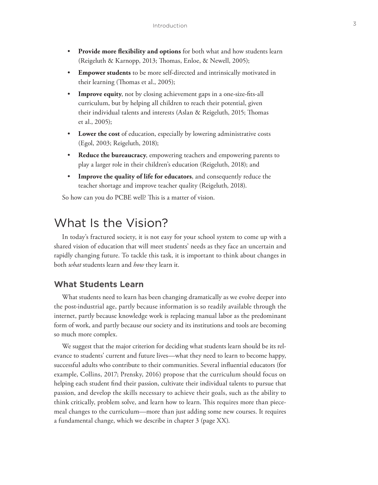- **Provide more flexibility and options** for both what and how students learn (Reigeluth & Karnopp, 2013; Thomas, Enloe, & Newell, 2005);
- **Empower students** to be more self-directed and intrinsically motivated in their learning (Thomas et al., 2005);
- **Improve equity**, not by closing achievement gaps in a one-size-fits-all curriculum, but by helping all children to reach their potential, given their individual talents and interests (Aslan & Reigeluth, 2015; Thomas et al., 2005);
- **Lower the cost** of education, especially by lowering administrative costs (Egol, 2003; Reigeluth, 2018);
- **Reduce the bureaucracy**, empowering teachers and empowering parents to play a larger role in their children's education (Reigeluth, 2018); and
- **Improve the quality of life for educators**, and consequently reduce the teacher shortage and improve teacher quality (Reigeluth, 2018).

So how can you do PCBE well? This is a matter of vision.

## What Is the Vision?

In today's fractured society, it is not easy for your school system to come up with a shared vision of education that will meet students' needs as they face an uncertain and rapidly changing future. To tackle this task, it is important to think about changes in both *what* students learn and *how* they learn it.

#### **What Students Learn**

What students need to learn has been changing dramatically as we evolve deeper into the post-industrial age, partly because information is so readily available through the internet, partly because knowledge work is replacing manual labor as the predominant form of work, and partly because our society and its institutions and tools are becoming so much more complex.

We suggest that the major criterion for deciding what students learn should be its relevance to students' current and future lives—what they need to learn to become happy, successful adults who contribute to their communities. Several influential educators (for example, Collins, 2017; Prensky, 2016) propose that the curriculum should focus on helping each student find their passion, cultivate their individual talents to pursue that passion, and develop the skills necessary to achieve their goals, such as the ability to think critically, problem solve, and learn how to learn. This requires more than piecemeal changes to the curriculum—more than just adding some new courses. It requires a fundamental change, which we describe in chapter 3 (page XX).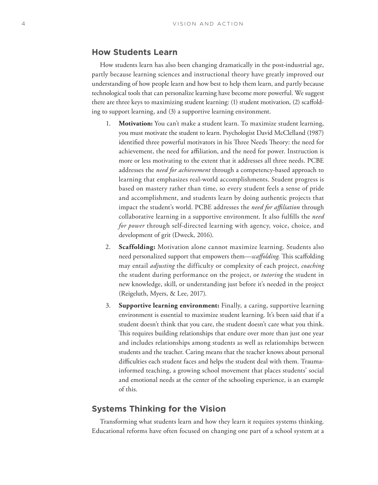#### **How Students Learn**

How students learn has also been changing dramatically in the post-industrial age, partly because learning sciences and instructional theory have greatly improved our understanding of how people learn and how best to help them learn, and partly because technological tools that can personalize learning have become more powerful. We suggest there are three keys to maximizing student learning: (1) student motivation, (2) scaffolding to support learning, and (3) a supportive learning environment.

- 1. **Motivation:** You can't make a student learn. To maximize student learning, you must motivate the student to learn. Psychologist David McClelland (1987) identified three powerful motivators in his Three Needs Theory: the need for achievement, the need for affiliation, and the need for power. Instruction is more or less motivating to the extent that it addresses all three needs. PCBE addresses the *need for achievement* through a competency-based approach to learning that emphasizes real-world accomplishments. Student progress is based on mastery rather than time, so every student feels a sense of pride and accomplishment, and students learn by doing authentic projects that impact the student's world. PCBE addresses the *need for affiliation* through collaborative learning in a supportive environment. It also fulfills the *need for power* through self-directed learning with agency, voice, choice, and development of grit (Dweck, 2016).
- 2. **Scaffolding:** Motivation alone cannot maximize learning. Students also need personalized support that empowers them—*scaffolding*. This scaffolding may entail *adjusting* the difficulty or complexity of each project, *coaching* the student during performance on the project, or *tutoring* the student in new knowledge, skill, or understanding just before it's needed in the project (Reigeluth, Myers, & Lee, 2017).
- 3. **Supportive learning environment:** Finally, a caring, supportive learning environment is essential to maximize student learning. It's been said that if a student doesn't think that you care, the student doesn't care what you think. This requires building relationships that endure over more than just one year and includes relationships among students as well as relationships between students and the teacher. Caring means that the teacher knows about personal difficulties each student faces and helps the student deal with them. Traumainformed teaching, a growing school movement that places students' social and emotional needs at the center of the schooling experience, is an example of this.

#### **Systems Thinking for the Vision**

Transforming what students learn and how they learn it requires systems thinking. Educational reforms have often focused on changing one part of a school system at a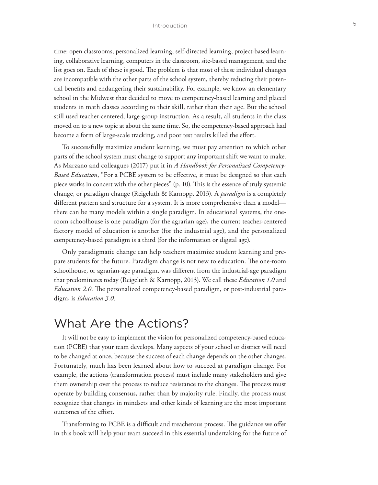time: open classrooms, personalized learning, self-directed learning, project-based learning, collaborative learning, computers in the classroom, site-based management, and the list goes on. Each of these is good. The problem is that most of these individual changes are incompatible with the other parts of the school system, thereby reducing their potential benefits and endangering their sustainability. For example, we know an elementary school in the Midwest that decided to move to competency-based learning and placed students in math classes according to their skill, rather than their age. But the school still used teacher-centered, large-group instruction. As a result, all students in the class moved on to a new topic at about the same time. So, the competency-based approach had become a form of large-scale tracking, and poor test results killed the effort.

To successfully maximize student learning, we must pay attention to which other parts of the school system must change to support any important shift we want to make. As Marzano and colleagues (2017) put it in *A Handbook for Personalized Competency-Based Education*, "For a PCBE system to be effective, it must be designed so that each piece works in concert with the other pieces" (p. 10). This is the essence of truly systemic change, or paradigm change (Reigeluth & Karnopp, 2013). A *paradigm* is a completely different pattern and structure for a system. It is more comprehensive than a model there can be many models within a single paradigm. In educational systems, the oneroom schoolhouse is one paradigm (for the agrarian age), the current teacher-centered factory model of education is another (for the industrial age), and the personalized competency-based paradigm is a third (for the information or digital age).

Only paradigmatic change can help teachers maximize student learning and prepare students for the future. Paradigm change is not new to education. The one-room schoolhouse, or agrarian-age paradigm, was different from the industrial-age paradigm that predominates today (Reigeluth & Karnopp, 2013). We call these *Education 1.0* and *Education 2.0*. The personalized competency-based paradigm, or post-industrial paradigm, is *Education 3.0*.

### What Are the Actions?

It will not be easy to implement the vision for personalized competency-based education (PCBE) that your team develops. Many aspects of your school or district will need to be changed at once, because the success of each change depends on the other changes. Fortunately, much has been learned about how to succeed at paradigm change. For example, the actions (transformation process) must include many stakeholders and give them ownership over the process to reduce resistance to the changes. The process must operate by building consensus, rather than by majority rule. Finally, the process must recognize that changes in mindsets and other kinds of learning are the most important outcomes of the effort.

Transforming to PCBE is a difficult and treacherous process. The guidance we offer in this book will help your team succeed in this essential undertaking for the future of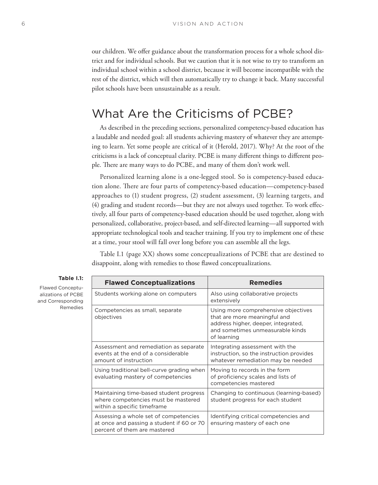our children. We offer guidance about the transformation process for a whole school district and for individual schools. But we caution that it is not wise to try to transform an individual school within a school district, because it will become incompatible with the rest of the district, which will then automatically try to change it back. Many successful pilot schools have been unsustainable as a result.

## What Are the Criticisms of PCBE?

As described in the preceding sections, personalized competency-based education has a laudable and needed goal: all students achieving mastery of whatever they are attempting to learn. Yet some people are critical of it (Herold, 2017). Why? At the root of the criticisms is a lack of conceptual clarity. PCBE is many different things to different people. There are many ways to do PCBE, and many of them don't work well.

Personalized learning alone is a one-legged stool. So is competency-based education alone. There are four parts of competency-based education—competency-based approaches to (1) student progress, (2) student assessment, (3) learning targets, and (4) grading and student records—but they are not always used together. To work effectively, all four parts of competency-based education should be used together, along with personalized, collaborative, project-based, and self-directed learning—all supported with appropriate technological tools and teacher training. If you try to implement one of these at a time, your stool will fall over long before you can assemble all the legs.

Table I.1 (page XX) shows some conceptualizations of PCBE that are destined to disappoint, along with remedies to those flawed conceptualizations.

| <b>Flawed Conceptualizations</b>                                                                                   | <b>Remedies</b>                                                                                                                                               |
|--------------------------------------------------------------------------------------------------------------------|---------------------------------------------------------------------------------------------------------------------------------------------------------------|
| Students working alone on computers                                                                                | Also using collaborative projects<br>extensively                                                                                                              |
| Competencies as small, separate<br>objectives                                                                      | Using more comprehensive objectives<br>that are more meaningful and<br>address higher, deeper, integrated,<br>and sometimes unmeasurable kinds<br>of learning |
| Assessment and remediation as separate<br>events at the end of a considerable<br>amount of instruction             | Integrating assessment with the<br>instruction, so the instruction provides<br>whatever remediation may be needed                                             |
| Using traditional bell-curve grading when<br>evaluating mastery of competencies                                    | Moving to records in the form<br>of proficiency scales and lists of<br>competencies mastered                                                                  |
| Maintaining time-based student progress<br>where competencies must be mastered<br>within a specific timeframe      | Changing to continuous (learning-based)<br>student progress for each student                                                                                  |
| Assessing a whole set of competencies<br>at once and passing a student if 60 or 70<br>percent of them are mastered | Identifying critical competencies and<br>ensuring mastery of each one                                                                                         |

#### **Table I.1:**

Flawed Conceptualizations of PCBE and Corresponding Remedies